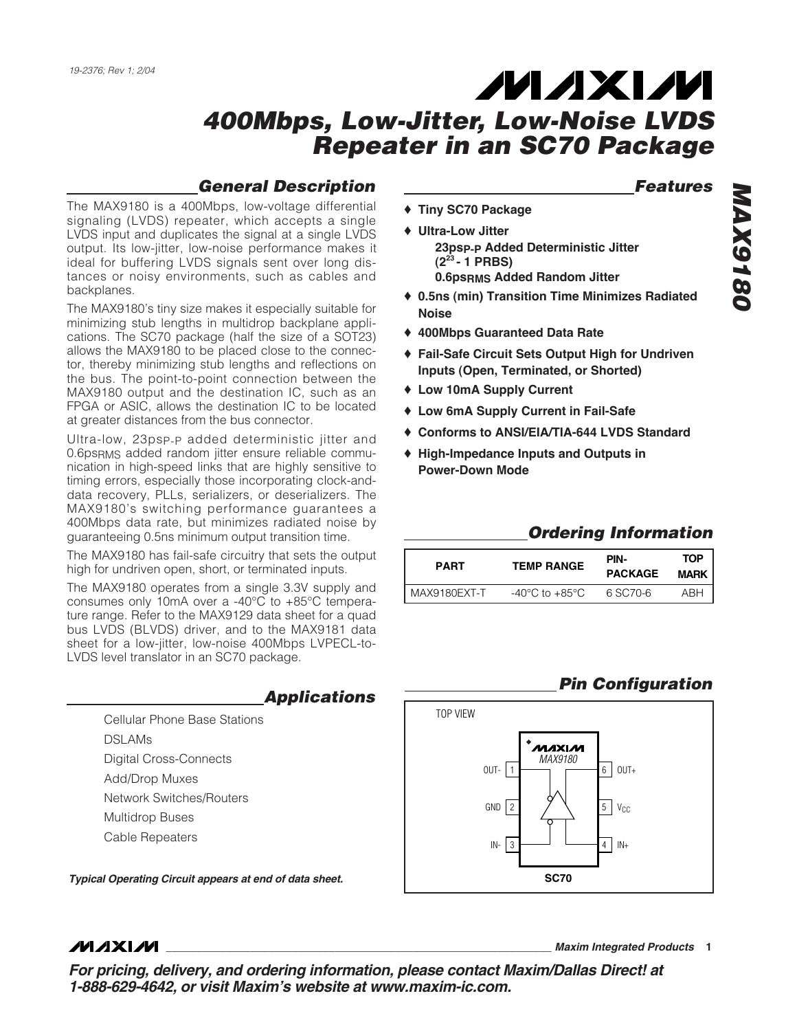#### *General Description*

The MAX9180 is a 400Mbps, low-voltage differential signaling (LVDS) repeater, which accepts a single LVDS input and duplicates the signal at a single LVDS output. Its low-jitter, low-noise performance makes it ideal for buffering LVDS signals sent over long distances or noisy environments, such as cables and backplanes.

The MAX9180's tiny size makes it especially suitable for minimizing stub lengths in multidrop backplane applications. The SC70 package (half the size of a SOT23) allows the MAX9180 to be placed close to the connector, thereby minimizing stub lengths and reflections on the bus. The point-to-point connection between the MAX9180 output and the destination IC, such as an FPGA or ASIC, allows the destination IC to be located at greater distances from the bus connector.

Ultra-low, 23psP-P added deterministic jitter and 0.6psRMS added random jitter ensure reliable communication in high-speed links that are highly sensitive to timing errors, especially those incorporating clock-anddata recovery, PLLs, serializers, or deserializers. The MAX9180's switching performance guarantees a 400Mbps data rate, but minimizes radiated noise by guaranteeing 0.5ns minimum output transition time.

The MAX9180 has fail-safe circuitry that sets the output high for undriven open, short, or terminated inputs.

The MAX9180 operates from a single 3.3V supply and consumes only 10mA over a -40°C to +85°C temperature range. Refer to the MAX9129 data sheet for a quad bus LVDS (BLVDS) driver, and to the MAX9181 data sheet for a low-jitter, low-noise 400Mbps LVPECL-to-LVDS level translator in an SC70 package.

> Cellular Phone Base Stations DSLAMs Digital Cross-Connects Add/Drop Muxes Network Switches/Routers Multidrop Buses Cable Repeaters

*Typical Operating Circuit appears at end of data sheet.*

#### *Features*

- ♦ **Tiny SC70 Package**
- ♦ **Ultra-Low Jitter 23psP-P Added Deterministic Jitter (223 - 1 PRBS) 0.6psRMS Added Random Jitter**
- ♦ **0.5ns (min) Transition Time Minimizes Radiated Noise**
- ♦ **400Mbps Guaranteed Data Rate**
- ♦ **Fail-Safe Circuit Sets Output High for Undriven Inputs (Open, Terminated, or Shorted)**
- ♦ **Low 10mA Supply Current**
- ♦ **Low 6mA Supply Current in Fail-Safe**
- ♦ **Conforms to ANSI/EIA/TIA-644 LVDS Standard**
- ♦ **High-Impedance Inputs and Outputs in Power-Down Mode**

#### *Ordering Information*

| <b>PART</b>  | <b>TEMP RANGE</b>                  | PIN-<br><b>PACKAGE</b> | TOP<br><b>MARK</b> |
|--------------|------------------------------------|------------------------|--------------------|
| MAX9180EXT-T | $-40^{\circ}$ C to $+85^{\circ}$ C | 6 SC70-6               | ARH                |
|              |                                    |                        |                    |

#### *Pin Configuration*



**MAXIM** 

**\_\_\_\_\_\_\_\_\_\_\_\_\_\_\_\_\_\_\_\_\_\_\_\_\_\_\_\_\_\_\_\_\_\_\_\_\_\_\_\_\_\_\_\_\_\_\_\_\_\_\_\_\_\_\_\_\_\_\_\_\_\_\_\_** *Maxim Integrated Products* **1**

*For pricing, delivery, and ordering information, please contact Maxim/Dallas Direct! at 1-888-629-4642, or visit Maxim's website at www.maxim-ic.com.*

*Applications*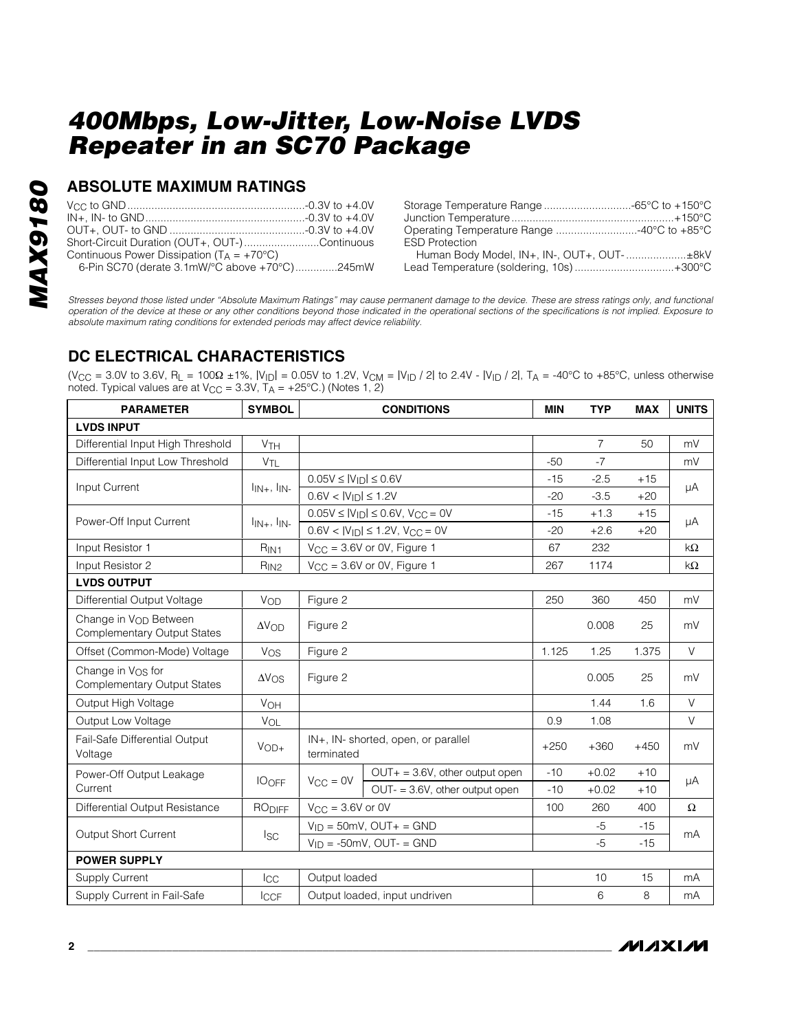#### **ABSOLUTE MAXIMUM RATINGS**

| Short-Circuit Duration (OUT+, OUT-)Continuous       |  |
|-----------------------------------------------------|--|
| Continuous Power Dissipation $(T_A = +70^{\circ}C)$ |  |
| 6-Pin SC70 (derate 3.1mW/°C above +70°C)245mW       |  |

| Operating Temperature Range 40°C to +85°C |  |
|-------------------------------------------|--|
| <b>ESD Protection</b>                     |  |
|                                           |  |
| Lead Temperature (soldering, 10s)+300°C   |  |

*Stresses beyond those listed under "Absolute Maximum Ratings" may cause permanent damage to the device. These are stress ratings only, and functional operation of the device at these or any other conditions beyond those indicated in the operational sections of the specifications is not implied. Exposure to absolute maximum rating conditions for extended periods may affect device reliability.*

## **DC ELECTRICAL CHARACTERISTICS**

(V<sub>CC</sub> = 3.0V to 3.6V, R<sub>L</sub> = 100Ω ±1%, |V<sub>ID</sub>| = 0.05V to 1.2V, V<sub>CM</sub> = |V<sub>ID</sub> / 2| to 2.4V - |V<sub>ID</sub> / 2|, T<sub>A</sub> = -40°C to +85°C, unless otherwise noted. Typical values are at  $V_{CC} = 3.3V$ ,  $T_A = +25^{\circ}C$ .) (Notes 1, 2)

| <b>PARAMETER</b>                                                    | <b>SYMBOL</b>                                             | <b>CONDITIONS</b>                                 |                                    | <b>MIN</b> | <b>TYP</b>     | <b>MAX</b>                                                                                                            | <b>UNITS</b> |
|---------------------------------------------------------------------|-----------------------------------------------------------|---------------------------------------------------|------------------------------------|------------|----------------|-----------------------------------------------------------------------------------------------------------------------|--------------|
| <b>LVDS INPUT</b>                                                   |                                                           |                                                   |                                    |            |                |                                                                                                                       |              |
| Differential Input High Threshold                                   | <b>V<sub>TH</sub></b>                                     |                                                   |                                    |            | $\overline{7}$ | 50                                                                                                                    | mV           |
| Differential Input Low Threshold                                    | <b>V<sub>TL</sub></b>                                     |                                                   |                                    | $-50$      | $-7$           |                                                                                                                       | mV           |
| Input Current                                                       |                                                           | $0.05V \leq  V_{ID}  \leq 0.6V$                   |                                    | $-15$      | $-2.5$         | $+15$                                                                                                                 | μA           |
|                                                                     | $I_{IN+}$ , $I_{IN-}$                                     | $0.6V <  V_{ID}  \le 1.2V$                        |                                    | $-20$      | $-3.5$         | $+20$<br>$+15$<br>$+20$<br>450<br>25<br>1.375<br>25<br>1.6<br>$+450$<br>$+10$<br>$+10$<br>400<br>$-15$<br>$-15$<br>15 |              |
| Power-Off Input Current                                             | $\mathsf{I}_{\mathsf{IN+}}$ , $\mathsf{I}_{\mathsf{IN-}}$ | $0.05V \le  V_{ID}  \le 0.6V, V_{CC} = 0V$        |                                    | $-15$      | $+1.3$         |                                                                                                                       | μA           |
|                                                                     |                                                           | $0.6V <  V_{ID}  \le 1.2V$ , $V_{CC} = 0V$        |                                    | $-20$      | $+2.6$         |                                                                                                                       |              |
| Input Resistor 1                                                    | R <sub>IN1</sub>                                          |                                                   | $V_{CC} = 3.6V$ or 0V, Figure 1    | 67         | 232            |                                                                                                                       | $k\Omega$    |
| Input Resistor 2                                                    | R <sub>IN2</sub>                                          |                                                   | $V_{CC}$ = 3.6V or 0V, Figure 1    | 267        | 1174           |                                                                                                                       | $k\Omega$    |
| <b>LVDS OUTPUT</b>                                                  |                                                           |                                                   |                                    |            |                |                                                                                                                       |              |
| Differential Output Voltage                                         | VOD                                                       | Figure 2                                          |                                    | 250        | 360            |                                                                                                                       | mV           |
| Change in Von Between<br><b>Complementary Output States</b>         | $\Delta V$ OD                                             | Figure 2                                          |                                    |            | 0.008          |                                                                                                                       | mV           |
| Offset (Common-Mode) Voltage                                        | Vos                                                       | Figure 2                                          |                                    | 1.125      | 1.25           |                                                                                                                       | $\vee$       |
| Change in V <sub>OS</sub> for<br><b>Complementary Output States</b> | $\Delta V$ OS                                             | Figure 2                                          |                                    |            | 0.005          |                                                                                                                       | mV           |
| Output High Voltage                                                 | VOH                                                       |                                                   |                                    |            | 1.44           |                                                                                                                       | $\vee$       |
| Output Low Voltage                                                  | VOL                                                       |                                                   |                                    | 0.9        | 1.08           |                                                                                                                       | $\vee$       |
| Fail-Safe Differential Output<br>Voltage                            | $VOD+$                                                    | IN+, IN- shorted, open, or parallel<br>terminated |                                    | $+250$     | $+360$         |                                                                                                                       | mV           |
| Power-Off Output Leakage                                            |                                                           |                                                   | $OUT + = 3.6V$ , other output open | $-10$      | $+0.02$        |                                                                                                                       |              |
| Current                                                             | <b>IOOFF</b>                                              | $V_{\rm CC} = 0V$                                 | OUT- = 3.6V, other output open     | $-10$      | $+0.02$        |                                                                                                                       | μA           |
| Differential Output Resistance                                      | <b>RODIFF</b>                                             | $V_{\text{CC}} = 3.6V$ or 0V                      |                                    | 100        | 260            |                                                                                                                       | $\Omega$     |
| Output Short Current                                                |                                                           | $V_{ID} = 50$ mV, OUT+ = GND                      |                                    |            | $-5$           |                                                                                                                       | mA           |
|                                                                     | <b>ISC</b>                                                |                                                   | $V_{ID} = -50mV$ , OUT- = GND      |            | $-5$           |                                                                                                                       |              |
| <b>POWER SUPPLY</b>                                                 |                                                           |                                                   |                                    |            |                |                                                                                                                       |              |
| <b>Supply Current</b>                                               | Icc                                                       | Output loaded                                     |                                    |            | 10             |                                                                                                                       | mA           |
| Supply Current in Fail-Safe                                         | <b>ICCF</b>                                               | Output loaded, input undriven                     |                                    |            | 6              | 8                                                                                                                     | mA           |



**MAX9180** *MAX9180*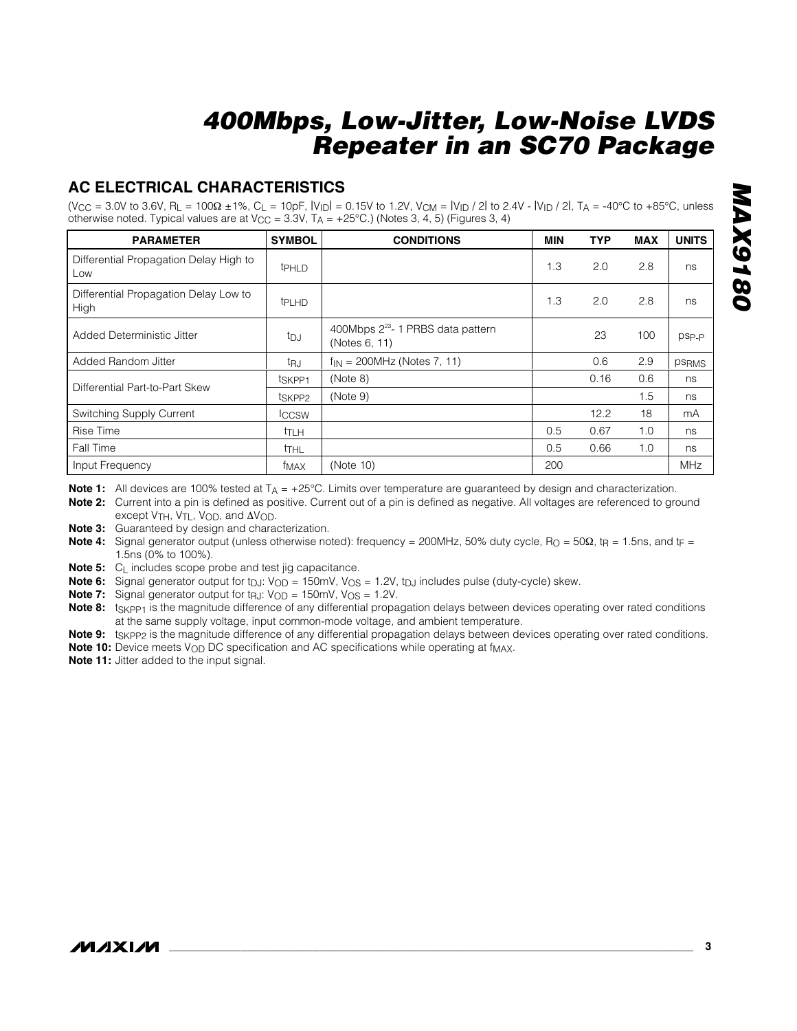#### **AC ELECTRICAL CHARACTERISTICS**

(V<sub>CC</sub> = 3.0V to 3.6V, R<sub>L</sub> = 100Ω ±1%, C<sub>L</sub> = 10pF, |V<sub>ID</sub>| = 0.15V to 1.2V, V<sub>CM</sub> = |V<sub>ID</sub> / 2| to 2.4V - |V<sub>ID</sub> / 2|, T<sub>A</sub> = -40°C to +85°C, unless otherwise noted. Typical values are at V<sub>CC</sub> = 3.3V, T<sub>A</sub> = +25°C.) (Notes 3, 4, 5) (Figures 3, 4)

| <b>PARAMETER</b>                              | <b>SYMBOL</b>      | <b>CONDITIONS</b>                                              | <b>MIN</b> | <b>TYP</b> | <b>MAX</b> | <b>UNITS</b> |
|-----------------------------------------------|--------------------|----------------------------------------------------------------|------------|------------|------------|--------------|
| Differential Propagation Delay High to<br>Low | <b>t</b> PHLD      |                                                                | 1.3        | 2.0        | 2.8        | ns           |
| Differential Propagation Delay Low to<br>High | t <sub>PLHD</sub>  |                                                                | 1.3        | 2.0        | 2.8        | ns           |
| Added Deterministic Jitter                    | tpj                | 400Mbps 2 <sup>23</sup> - 1 PRBS data pattern<br>(Notes 6, 11) |            | 23         | 100        | psp-p        |
| Added Random Jitter                           | tru                | $f_{IN} = 200 MHz$ (Notes 7, 11)                               |            | 0.6        | 2.9        | <b>PSRMS</b> |
| Differential Part-to-Part Skew                | t <sub>SKPP1</sub> | (Note 8)                                                       |            | 0.16       | 0.6        | ns           |
|                                               | t <sub>SKPP2</sub> | (Note 9)                                                       |            |            | 1.5        | ns           |
| Switching Supply Current                      | <b>ICCSW</b>       |                                                                |            | 12.2       | 18         | mA           |
| Rise Time                                     | <sup>t</sup> TLH   |                                                                | 0.5        | 0.67       | 1.0        | ns           |
| Fall Time                                     | tthl               |                                                                | 0.5        | 0.66       | 1.0        | ns           |
| Input Frequency                               | f <sub>MAX</sub>   | (Note 10)                                                      | 200        |            |            | <b>MHz</b>   |

Note 1: All devices are 100% tested at T<sub>A</sub> = +25°C. Limits over temperature are guaranteed by design and characterization.

**Note 2:** Current into a pin is defined as positive. Current out of a pin is defined as negative. All voltages are referenced to ground except V<sub>TH</sub>, V<sub>TL</sub>, V<sub>OD</sub>, and  $\Delta V_{OD}$ .

**Note 3:** Guaranteed by design and characterization.

**Note 4:** Signal generator output (unless otherwise noted): frequency = 200MHz, 50% duty cycle, R<sub>O</sub> = 50Ω, t<sub>R</sub> = 1.5ns, and t<sub>F</sub> = 1.5ns (0% to 100%).

**Note 5:** C<sub>L</sub> includes scope probe and test jig capacitance.

**Note 6:** Signal generator output for t<sub>DJ</sub>: V<sub>OD</sub> = 150mV, V<sub>OS</sub> = 1.2V, t<sub>DJ</sub> includes pulse (duty-cycle) skew.

**Note 7:** Signal generator output for  $tr_{R,J}: V_{OD} = 150$  mV,  $V_{OS} = 1.2V$ .

Note 8: t<sub>SKPP1</sub> is the magnitude difference of any differential propagation delays between devices operating over rated conditions at the same supply voltage, input common-mode voltage, and ambient temperature.

Note 9: t<sub>SKPP2</sub> is the magnitude difference of any differential propagation delays between devices operating over rated conditions.

**Note 10:** Device meets V<sub>OD</sub> DC specification and AC specifications while operating at f<sub>MAX</sub>.

**Note 11:** Jitter added to the input signal.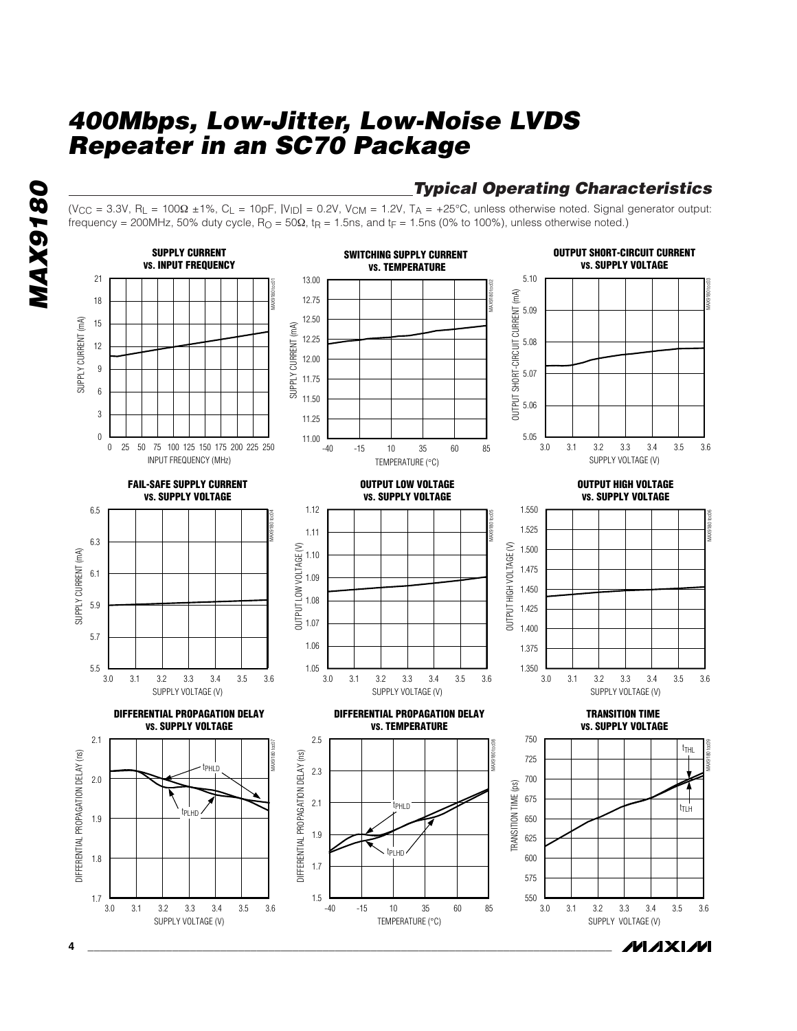## *Typical Operating Characteristics*

(V<sub>CC</sub> = 3.3V, R<sub>L</sub> = 100 $\Omega$  ±1%, C<sub>L</sub> = 10pF, |V<sub>ID</sub>| = 0.2V, V<sub>CM</sub> = 1.2V, T<sub>A</sub> = +25°C, unless otherwise noted. Signal generator output: frequency = 200MHz, 50% duty cycle,  $R_{\text{O}} = 50\Omega$ ,  $t_{\text{R}} = 1.5$ ns, and  $t_{\text{F}} = 1.5$ ns (0% to 100%), unless otherwise noted.)

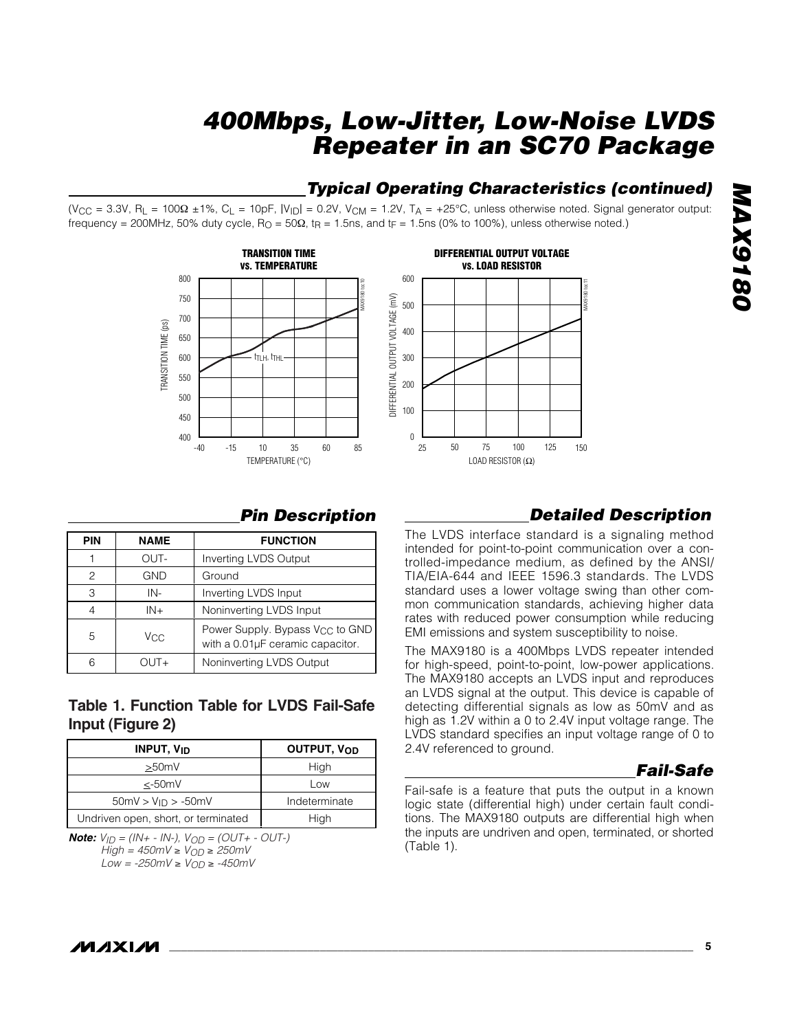## *Typical Operating Characteristics (continued)*

(V<sub>CC</sub> = 3.3V, R<sub>L</sub> = 100 $\Omega$  ±1%, C<sub>L</sub> = 10pF, |V<sub>ID</sub>| = 0.2V, V<sub>CM</sub> = 1.2V, T<sub>A</sub> = +25°C, unless otherwise noted. Signal generator output: frequency = 200MHz, 50% duty cycle,  $R_{\text{O}} = 50\Omega$ ,  $t_{\text{R}} = 1.5$ ns, and  $t_{\text{F}} = 1.5$ ns (0% to 100%), unless otherwise noted.)





# **MAX9180** *MAX9180*

#### *Pin Description*

| <b>PIN</b> | <b>NAME</b> | <b>FUNCTION</b>                                                                 |
|------------|-------------|---------------------------------------------------------------------------------|
|            | OUT-        | Inverting LVDS Output                                                           |
| 2          | <b>GND</b>  | Ground                                                                          |
| 3          | IN-         | Inverting LVDS Input                                                            |
| 4          | $IN +$      | Noninverting LVDS Input                                                         |
| 5          | Vcc         | Power Supply. Bypass V <sub>CC</sub> to GND<br>with a 0.01µF ceramic capacitor. |
| ൳          | $OUIT +$    | Noninverting LVDS Output                                                        |

#### **Table 1. Function Table for LVDS Fail-Safe Input (Figure 2)**

| <b>INPUT, V<sub>ID</sub></b>        | OUTPUT, VOD   |
|-------------------------------------|---------------|
| >50mV                               | High          |
| $<$ -50 $mV$                        | Low           |
| $50mV > V_{1D} > -50mV$             | Indeterminate |
| Undriven open, short, or terminated | High          |

*Note:*  $V_{ID} = (IN + - IN -), V_{OD} = (OUT + - OUT -)$ *High = 450mV* ≥ *VOD* ≥ *250mV Low = -250mV* ≥ *VOD* ≥ *-450mV*

#### *Detailed Description*

The LVDS interface standard is a signaling method intended for point-to-point communication over a controlled-impedance medium, as defined by the ANSI/ TIA/EIA-644 and IEEE 1596.3 standards. The LVDS standard uses a lower voltage swing than other common communication standards, achieving higher data rates with reduced power consumption while reducing EMI emissions and system susceptibility to noise.

The MAX9180 is a 400Mbps LVDS repeater intended for high-speed, point-to-point, low-power applications. The MAX9180 accepts an LVDS input and reproduces an LVDS signal at the output. This device is capable of detecting differential signals as low as 50mV and as high as 1.2V within a 0 to 2.4V input voltage range. The LVDS standard specifies an input voltage range of 0 to 2.4V referenced to ground.

#### *Fail-Safe*

Fail-safe is a feature that puts the output in a known logic state (differential high) under certain fault conditions. The MAX9180 outputs are differential high when the inputs are undriven and open, terminated, or shorted (Table 1).

#### *IVI A* XI*IV*I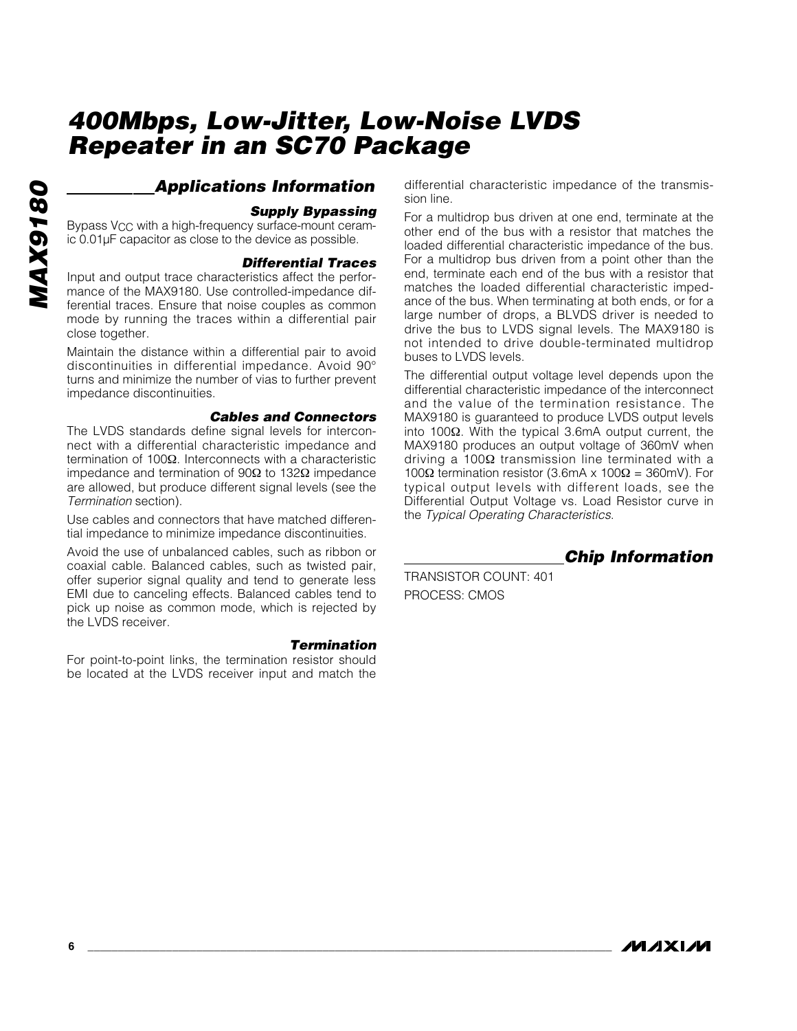#### *Applications Information*

#### *Supply Bypassing*

Bypass VCC with a high-frequency surface-mount ceramic 0.01µF capacitor as close to the device as possible.

#### *Differential Traces*

Input and output trace characteristics affect the performance of the MAX9180. Use controlled-impedance differential traces. Ensure that noise couples as common mode by running the traces within a differential pair close together.

Maintain the distance within a differential pair to avoid discontinuities in differential impedance. Avoid 90° turns and minimize the number of vias to further prevent impedance discontinuities.

#### *Cables and Connectors*

The LVDS standards define signal levels for interconnect with a differential characteristic impedance and termination of 100Ω. Interconnects with a characteristic impedance and termination of 90Ω to 132Ω impedance are allowed, but produce different signal levels (see the *Termination* section).

Use cables and connectors that have matched differential impedance to minimize impedance discontinuities.

Avoid the use of unbalanced cables, such as ribbon or coaxial cable. Balanced cables, such as twisted pair, offer superior signal quality and tend to generate less EMI due to canceling effects. Balanced cables tend to pick up noise as common mode, which is rejected by the LVDS receiver.

#### *Termination*

For point-to-point links, the termination resistor should be located at the LVDS receiver input and match the

differential characteristic impedance of the transmission line.

For a multidrop bus driven at one end, terminate at the other end of the bus with a resistor that matches the loaded differential characteristic impedance of the bus. For a multidrop bus driven from a point other than the end, terminate each end of the bus with a resistor that matches the loaded differential characteristic impedance of the bus. When terminating at both ends, or for a large number of drops, a BLVDS driver is needed to drive the bus to LVDS signal levels. The MAX9180 is not intended to drive double-terminated multidrop buses to LVDS levels.

The differential output voltage level depends upon the differential characteristic impedance of the interconnect and the value of the termination resistance. The MAX9180 is guaranteed to produce LVDS output levels into 100Ω. With the typical 3.6mA output current, the MAX9180 produces an output voltage of 360mV when driving a 100Ω transmission line terminated with a 100Ω termination resistor (3.6mA x 100Ω = 360mV). For typical output levels with different loads, see the Differential Output Voltage vs. Load Resistor curve in the *Typical Operating Characteristics*.

*Chip Information*

TRANSISTOR COUNT: 401 PROCESS: CMOS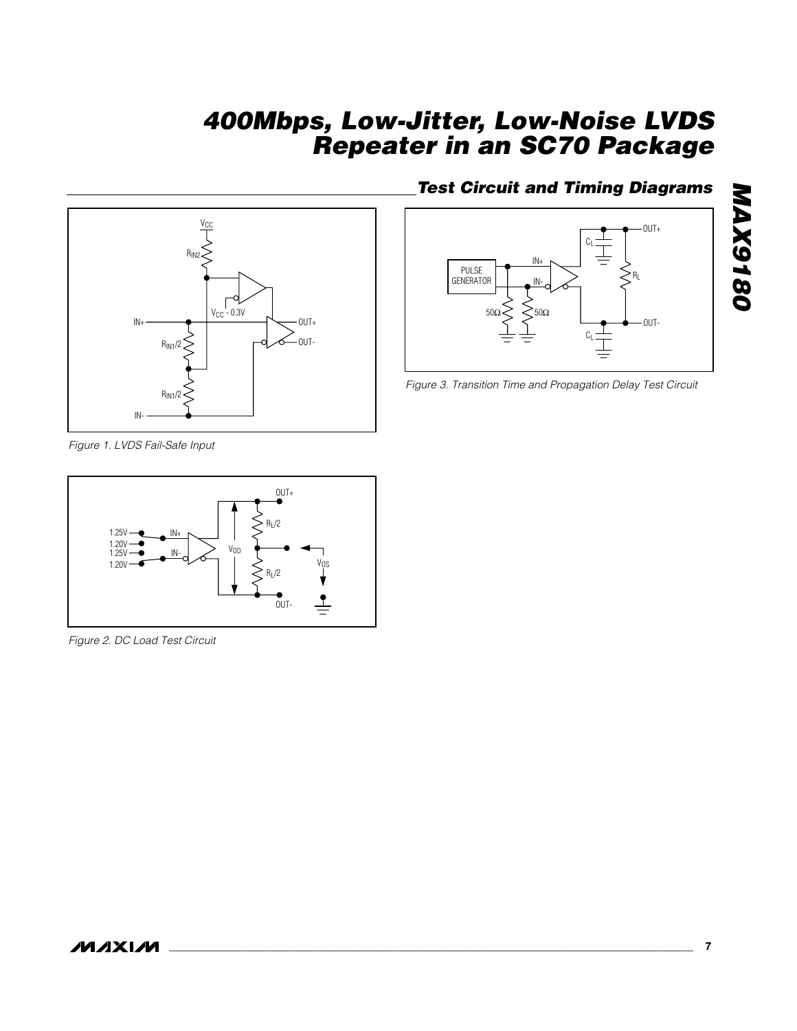

*Figure 1. LVDS Fail-Safe Input*



*Figure 2. DC Load Test Circuit*

### *Test Circuit and Timing Diagrams*



*Figure 3. Transition Time and Propagation Delay Test Circuit*

*MAX9180*

**MAX9180**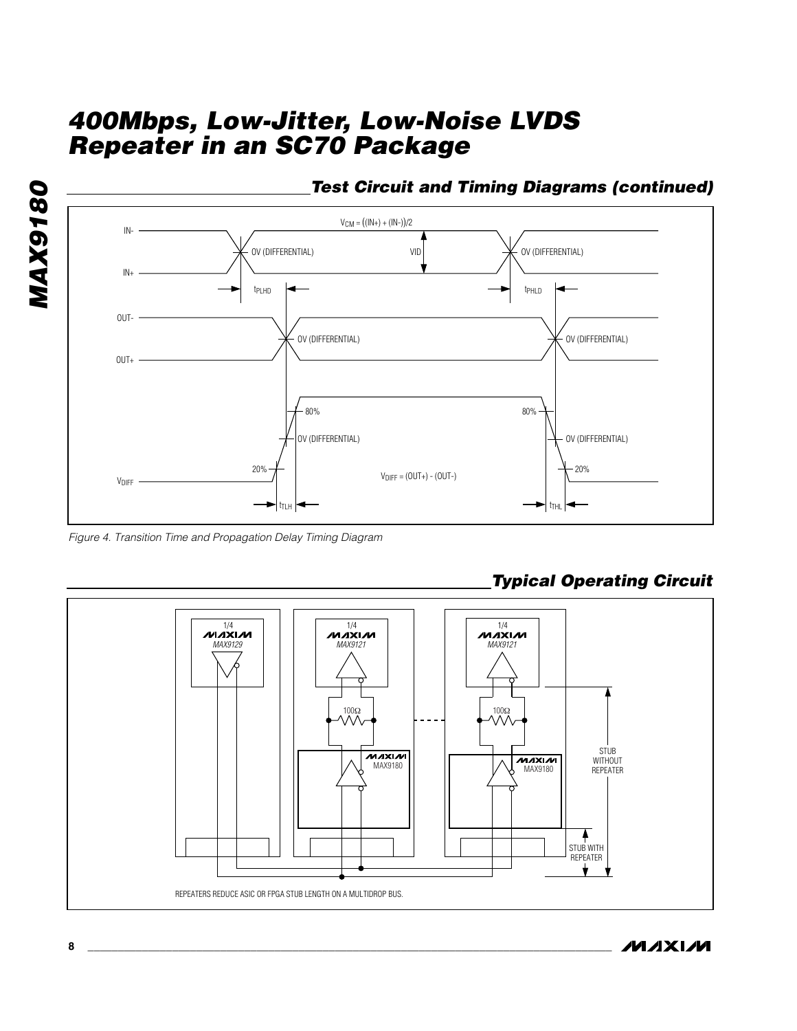



*Figure 4. Transition Time and Propagation Delay Timing Diagram*



## *Typical Operating Circuit*